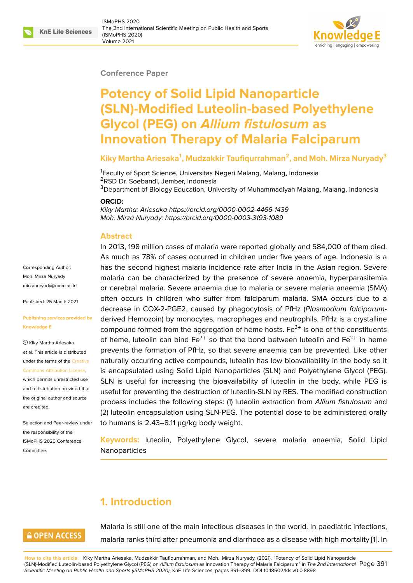#### **Conference Paper**

# **Potency of Solid Lipid Nanoparticle (SLN)-Modified Luteolin-based Polyethylene Glycol (PEG) on** *Allium fistulosum* **as Innovation Therapy of Malaria Falciparum**

#### **Kiky Martha Ariesaka<sup>1</sup> , Mudzakkir Taufiqurrahman<sup>2</sup> , and Moh. Mirza Nuryady<sup>3</sup>**

<sup>1</sup> Faculty of Sport Science, Universitas Negeri Malang, Malang, Indonesia <sup>2</sup>RSD Dr. Soebandi, Jember, Indonesia <sup>3</sup>Department of Biology Education, University of Muhammadiyah Malang, Malang, Indonesia

#### **ORCID:**

*Kiky Martha: Ariesaka https://orcid.org/0000-0002-4466-1439 Moh. Mirza Nuryady: https://orcid.org/0000-0003-3193-1089*

#### **Abstract**

Corresponding Author: Moh. Mirza Nuryady mirzanuryady@umm.ac.id

Published: 25 March 2021

#### **[Publishing services provi](mailto:mirzanuryady@umm.ac.id)ded by Knowledge E**

Kiky Martha Ariesaka et al. This article is distributed under the terms of the Creative Commons Attribution License,

which permits unrestricted use and redistribution provided that the original author and [source](https://creativecommons.org/licenses/by/4.0/) [are credited.](https://creativecommons.org/licenses/by/4.0/)

Selection and Peer-review under the responsibility of the ISMoPHS 2020 Conference Committee.

In 2013, 198 million cases of malaria were reported globally and 584,000 of them died. As much as 78% of cases occurred in children under five years of age. Indonesia is a has the second highest malaria incidence rate after India in the Asian region. Severe malaria can be characterized by the presence of severe anaemia, hyperparasitemia or cerebral malaria. Severe anaemia due to malaria or severe malaria anaemia (SMA) often occurs in children who suffer from falciparum malaria. SMA occurs due to a decrease in COX-2-PGE2, caused by phagocytosis of PfHz (*Plasmodium falciparum*derived Hemozoin) by monocytes, macrophages and neutrophils. PfHz is a crystalline compound formed from the aggregation of heme hosts.  $Fe^{2+}$  is one of the constituents of heme, luteolin can bind  $Fe^{2+}$  so that the bond between luteolin and  $Fe^{2+}$  in heme prevents the formation of PfHz, so that severe anaemia can be prevented. Like other naturally occurring active compounds, luteolin has low bioavailability in the body so it is encapsulated using Solid Lipid Nanoparticles (SLN) and Polyethylene Glycol (PEG). SLN is useful for increasing the bioavailability of luteolin in the body, while PEG is useful for preventing the destruction of luteolin-SLN by RES. The modified construction process includes the following steps: (1) luteolin extraction from *Allium fistulosum* and (2) luteolin encapsulation using SLN-PEG. The potential dose to be administered orally to humans is 2.43–8.11 µg/kg body weight.

**Keywords:** luteolin, Polyethylene Glycol, severe malaria anaemia, Solid Lipid Nanoparticles

# **1. Introduction**

# **GOPEN ACCESS**

Malaria is still one of the main infectious diseases in the world. In paediatric infections, malaria ranks third after pneumonia and diarrhoea as a disease with high mortality [1]. In

**How to cite this article**: Kiky Martha Ariesaka, Mudzakkir Taufiqurrahman, and Moh. Mirza Nuryady, (2021), "Potency of Solid Lipid Nanoparticle (SLN)-Modified Luteolin-based Polyethylene Glycol (PEG) on *Allium fistulosum* as Innovation Therapy of Malaria Falciparum" in *The 2nd International* Page 391 *Scientific Meeting on Public Health and Sports (ISMoPHS 2020)*, KnE Life Sciences, pages 391–399. DOI 10.18502/kls.v0i0.8898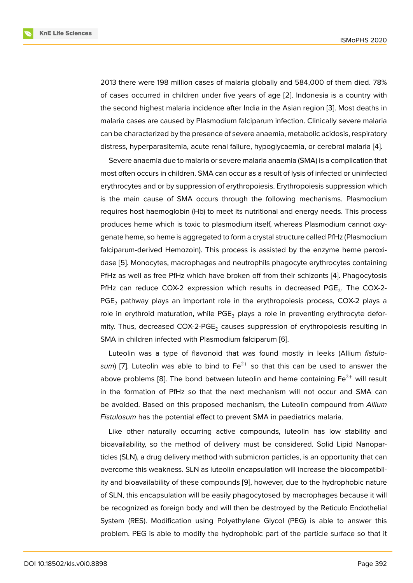2013 there were 198 million cases of malaria globally and 584,000 of them died. 78% of cases occurred in children under five years of age [2]. Indonesia is a country with the second highest malaria incidence after India in the Asian region [3]. Most deaths in malaria cases are caused by Plasmodium falciparum infection. Clinically severe malaria can be characterized by the presence of severe anaemia[, m](#page-6-0)etabolic acidosis, respiratory distress, hyperparasitemia, acute renal failure, hypoglycaemia, or cer[eb](#page-6-1)ral malaria [4].

Severe anaemia due to malaria or severe malaria anaemia (SMA) is a complication that most often occurs in children. SMA can occur as a result of lysis of infected or uninfected erythrocytes and or by suppression of erythropoiesis. Erythropoiesis suppression w[hic](#page-7-0)h is the main cause of SMA occurs through the following mechanisms. Plasmodium requires host haemoglobin (Hb) to meet its nutritional and energy needs. This process produces heme which is toxic to plasmodium itself, whereas Plasmodium cannot oxygenate heme, so heme is aggregated to form a crystal structure called PfHz (Plasmodium falciparum-derived Hemozoin). This process is assisted by the enzyme heme peroxidase [5]. Monocytes, macrophages and neutrophils phagocyte erythrocytes containing PfHz as well as free PfHz which have broken off from their schizonts [4]. Phagocytosis PfHz can reduce COX-2 expression which results in decreased PGE<sub>2</sub>. The COX-2- $PGE<sub>2</sub>$  [p](#page-7-1)athway plays an important role in the erythropoiesis process, COX-2 plays a role in e[ry](#page-7-0)throid maturation, while  $PGE_2$  plays a role in preventing erythrocyte deformity. Thus, decreased COX-2-PGE<sub>2</sub> causes suppression of erythropoiesis resulting in SMA in children infected with Plasmodium falciparum [6].

Luteolin was a type of flavonoid that was found mostly in leeks (Allium *fistulosum*) [7]. Luteolin was able to bind to  $Fe^{2+}$  so that this can be used to answer the above problems [8]. T[he](#page-7-2) bond between luteolin and heme containing  $Fe<sup>2+</sup>$  will result in the formation of PfHz so that the next mechanism will not occur and SMA can be av[oid](#page-7-3)ed. Based on this proposed mechanism, the Luteolin compound from *Allium Fistulosum* has th[e](#page-7-4) potential effect to prevent SMA in paediatrics malaria.

Like other naturally occurring active compounds, luteolin has low stability and bioavailability, so the method of delivery must be considered. Solid Lipid Nanoparticles (SLN), a drug delivery method with submicron particles, is an opportunity that can overcome this weakness. SLN as luteolin encapsulation will increase the biocompatibility and bioavailability of these compounds [9], however, due to the hydrophobic nature of SLN, this encapsulation will be easily phagocytosed by macrophages because it will be recognized as foreign body and will then be destroyed by the Reticulo Endothelial System (RES). Modification using Polyeth[yle](#page-7-5)ne Glycol (PEG) is able to answer this problem. PEG is able to modify the hydrophobic part of the particle surface so that it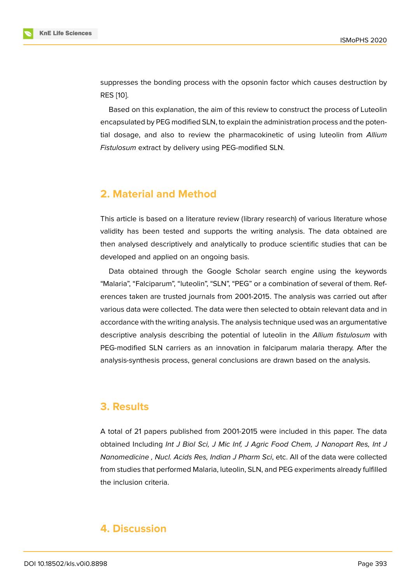suppresses the bonding process with the opsonin factor which causes destruction by RES [10].

Based on this explanation, the aim of this review to construct the process of Luteolin encapsulated by PEG modified SLN, to explain the administration process and the potential [dos](#page-7-6)age, and also to review the pharmacokinetic of using luteolin from *Allium Fistulosum* extract by delivery using PEG-modified SLN.

## **2. Material and Method**

This article is based on a literature review (library research) of various literature whose validity has been tested and supports the writing analysis. The data obtained are then analysed descriptively and analytically to produce scientific studies that can be developed and applied on an ongoing basis.

Data obtained through the Google Scholar search engine using the keywords "Malaria", "Falciparum", "luteolin", "SLN", "PEG" or a combination of several of them. References taken are trusted journals from 2001-2015. The analysis was carried out after various data were collected. The data were then selected to obtain relevant data and in accordance with the writing analysis. The analysis technique used was an argumentative descriptive analysis describing the potential of luteolin in the *Allium fistulosum* with PEG-modified SLN carriers as an innovation in falciparum malaria therapy. After the analysis-synthesis process, general conclusions are drawn based on the analysis.

#### **3. Results**

A total of 21 papers published from 2001-2015 were included in this paper. The data obtained Including *Int J Biol Sci, J Mic Inf, J Agric Food Chem, J Nanopart Res, Int J Nanomedicine , Nucl. Acids Res, Indian J Pharm Sci*, etc. All of the data were collected from studies that performed Malaria, luteolin, SLN, and PEG experiments already fulfilled the inclusion criteria.

### **4. Discussion**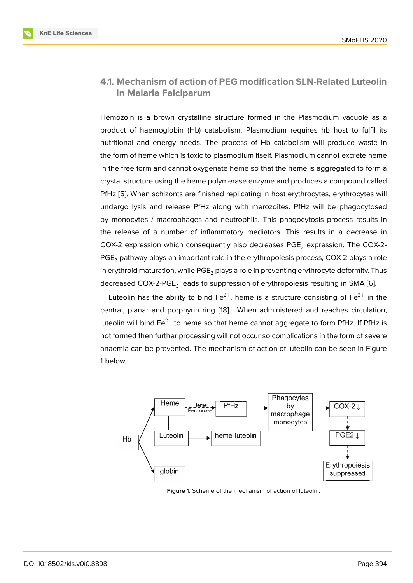### **4.1. Mechanism of action of PEG modification SLN-Related Luteolin in Malaria Falciparum**

Hemozoin is a brown crystalline structure formed in the Plasmodium vacuole as a product of haemoglobin (Hb) catabolism. Plasmodium requires hb host to fulfil its nutritional and energy needs. The process of Hb catabolism will produce waste in the form of heme which is toxic to plasmodium itself. Plasmodium cannot excrete heme in the free form and cannot oxygenate heme so that the heme is aggregated to form a crystal structure using the heme polymerase enzyme and produces a compound called PfHz [5]. When schizonts are finished replicating in host erythrocytes, erythrocytes will undergo lysis and release PfHz along with merozoites. PfHz will be phagocytosed by monocytes / macrophages and neutrophils. This phagocytosis process results in the r[ele](#page-7-1)ase of a number of inflammatory mediators. This results in a decrease in COX-2 expression which consequently also decreases PGE<sub>2</sub> expression. The COX-2-PGE<sub>2</sub> pathway plays an important role in the erythropoiesis process, COX-2 plays a role in erythroid maturation, while  $PGE_2$  plays a role in preventing erythrocyte deformity. Thus decreased COX-2-PGE $_2$  leads to suppression of erythropoiesis resulting in SMA [6].

Luteolin has the ability to bind Fe<sup>2+</sup>, heme is a structure consisting of Fe<sup>2+</sup> in the central, planar and porphyrin ring [18] . When administered and reaches circulation, luteolin will bind  $Fe^{2+}$  to heme so that heme cannot aggregate to form P[fH](#page-7-2)z. If PfHz is not formed then further processing will not occur so complications in the form of severe anaemia can be prevented. The me[cha](#page-8-0)nism of action of luteolin can be seen in Figure 1 below.



**Figure** 1: Scheme of the mechanism of action of luteolin.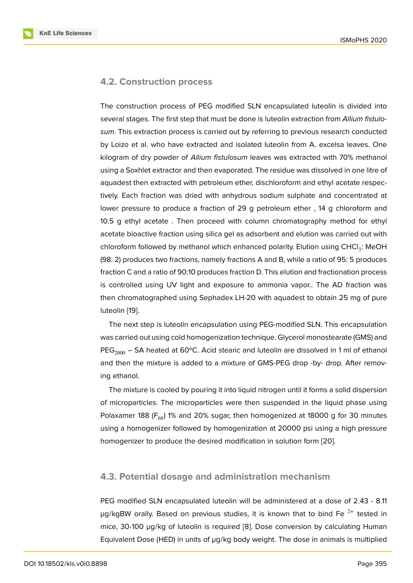#### **4.2. Construction process**

The construction process of PEG modified SLN encapsulated luteolin is divided into several stages. The first step that must be done is luteolin extraction from *Allium fistulosum*. This extraction process is carried out by referring to previous research conducted by Loizo et al. who have extracted and isolated luteolin from A. excelsa leaves. One kilogram of dry powder of *Allium fistulosum* leaves was extracted with 70% methanol using a Soxhlet extractor and then evaporated. The residue was dissolved in one litre of aquadest then extracted with petroleum ether, dischloroform and ethyl acetate respectively. Each fraction was dried with anhydrous sodium sulphate and concentrated at lower pressure to produce a fraction of 29 g petroleum ether , 14 g chloroform and 10.5 g ethyl acetate . Then proceed with column chromatography method for ethyl acetate bioactive fraction using silica gel as adsorbent and elution was carried out with chloroform followed by methanol which enhanced polarity. Elution using CHCl<sub>3</sub>: MeOH (98: 2) produces two fractions, namely fractions A and B, while a ratio of 95: 5 produces fraction C and a ratio of 90:10 produces fraction D. This elution and fractionation process is controlled using UV light and exposure to ammonia vapor.. The AD fraction was then chromatographed using Sephadex LH-20 with aquadest to obtain 25 mg of pure luteolin [19].

The next step is luteolin encapsulation using PEG-modified SLN. This encapsulation was carried out using cold homogenization technique. Glycerol monostearate (GMS) and PEG<sub>2000</sub> [– S](#page-8-1)A heated at 60°C. Acid stearic and luteolin are dissolved in 1 ml of ethanol and then the mixture is added to a mixture of GMS-PEG drop -by- drop. After removing ethanol.

The mixture is cooled by pouring it into liquid nitrogen until it forms a solid dispersion of microparticles. The microparticles were then suspended in the liquid phase using Polaxamer 188 ( $F_{68}$ ) 1% and 20% sugar, then homogenized at 18000 g for 30 minutes using a homogenizer followed by homogenization at 20000 psi using a high pressure homogenizer to produce the desired modification in solution form [20].

#### **4.3. Potential dosage and administration mechanis[m](#page-8-2)**

PEG modified SLN encapsulated luteolin will be administered at a dose of 2.43 - 8.11  $\mu$ g/kgBW orally. Based on previous studies, it is known that to bind Fe  $^{2+}$  tested in mice, 30-100 µg/kg of luteolin is required [8]. Dose conversion by calculating Human Equivalent Dose (HED) in units of µg/kg body weight. The dose in animals is multiplied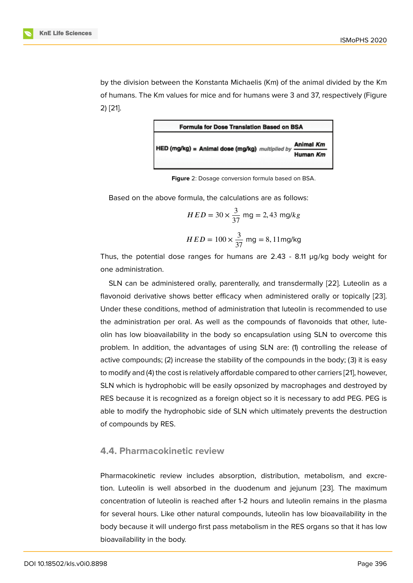by the division between the Konstanta Michaelis (Km) of the animal divided by the Km of humans. The Km values for mice and for humans were 3 and 37, respectively (Figure 2) [21].



**Figure** 2: Dosage conversion formula based on BSA.

Based on the above formula, the calculations are as follows:

$$
HED = 30 \times \frac{3}{37}
$$
 mg = 2,43 mg/kg  

$$
HED = 100 \times \frac{3}{37}
$$
 mg = 8,11mg/kg

Thus, the potential dose ranges for humans are  $2.43 - 8.11$   $\mu$ g/kg body weight for one administration.

SLN can be administered orally, parenterally, and transdermally [22]. Luteolin as a flavonoid derivative shows better efficacy when administered orally or topically [23]. Under these conditions, method of administration that luteolin is recommended to use the administration per oral. As well as the compounds of flavonoi[ds t](#page-8-3)hat other, luteolin has low bioavailability in the body so encapsulation using SLN to overcome [thi](#page-8-4)s problem. In addition, the advantages of using SLN are: (1) controlling the release of active compounds; (2) increase the stability of the compounds in the body; (3) it is easy to modify and (4) the cost is relatively affordable compared to other carriers [21], however, SLN which is hydrophobic will be easily opsonized by macrophages and destroyed by RES because it is recognized as a foreign object so it is necessary to add PEG. PEG is able to modify the hydrophobic side of SLN which ultimately prevents th[e d](#page-8-5)estruction of compounds by RES.

#### **4.4. Pharmacokinetic review**

Pharmacokinetic review includes absorption, distribution, metabolism, and excretion. Luteolin is well absorbed in the duodenum and jejunum [23]. The maximum concentration of luteolin is reached after 1-2 hours and luteolin remains in the plasma for several hours. Like other natural compounds, luteolin has low bioavailability in the body because it will undergo first pass metabolism in the RES orga[ns s](#page-8-4)o that it has low bioavailability in the body.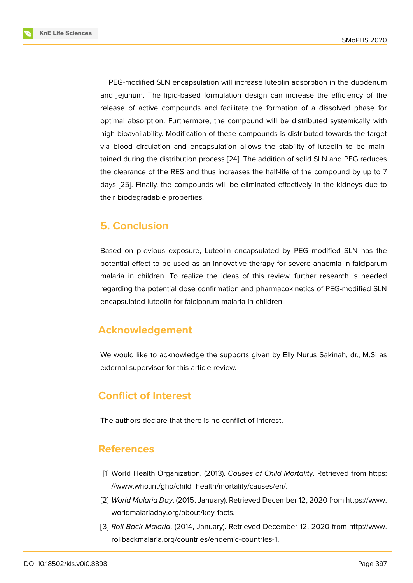PEG-modified SLN encapsulation will increase luteolin adsorption in the duodenum and jejunum. The lipid-based formulation design can increase the efficiency of the release of active compounds and facilitate the formation of a dissolved phase for optimal absorption. Furthermore, the compound will be distributed systemically with high bioavailability. Modification of these compounds is distributed towards the target via blood circulation and encapsulation allows the stability of luteolin to be maintained during the distribution process [24]. The addition of solid SLN and PEG reduces the clearance of the RES and thus increases the half-life of the compound by up to 7 days [25]. Finally, the compounds will be eliminated effectively in the kidneys due to their biodegradable properties.

### **5. C[on](#page-8-6)clusion**

Based on previous exposure, Luteolin encapsulated by PEG modified SLN has the potential effect to be used as an innovative therapy for severe anaemia in falciparum malaria in children. To realize the ideas of this review, further research is needed regarding the potential dose confirmation and pharmacokinetics of PEG-modified SLN encapsulated luteolin for falciparum malaria in children.

# **Acknowledgement**

We would like to acknowledge the supports given by Elly Nurus Sakinah, dr., M.Si as external supervisor for this article review.

# **Conflict of Interest**

The authors declare that there is no conflict of interest.

### **References**

- [1] World Health Organization. (2013). *Causes of Child Mortality*. Retrieved from https: //www.who.int/gho/child\_health/mortality/causes/en/.
- [2] *World Malaria Day*. (2015, January). Retrieved December 12, 2020 from https://www. worldmalariaday.org/about/key-facts.
- <span id="page-6-1"></span><span id="page-6-0"></span>[3] *Roll Back Malaria*[. \(2014, January\). Retrieved Decemb](https://www.who.int/gho/child_health/mortality/causes/en/.)er 12, 2020 from http://www. rollbackmalaria.org/countries/endemic-countries-1.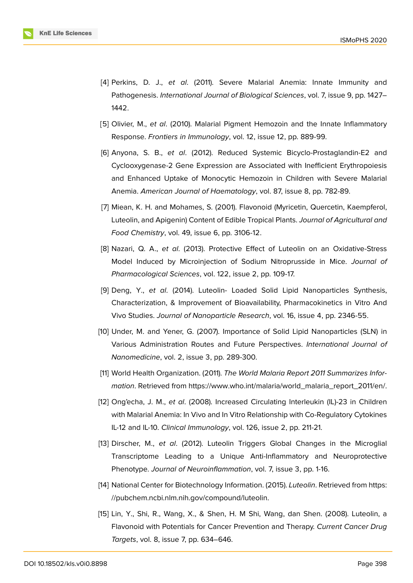- [4] Perkins, D. J., *et al*. (2011). Severe Malarial Anemia: Innate Immunity and Pathogenesis. *International Journal of Biological Sciences*, vol. 7, issue 9, pp. 1427– 1442.
- <span id="page-7-0"></span>[5] Olivier, M., *et al*. (2010). Malarial Pigment Hemozoin and the Innate Inflammatory Response. *Frontiers in Immunology*, vol. 12, issue 12, pp. 889-99.
- <span id="page-7-1"></span>[6] Anyona, S. B., *et al*. (2012). Reduced Systemic Bicyclo-Prostaglandin-E2 and Cyclooxygenase-2 Gene Expression are Associated with Inefficient Erythropoiesis and Enhanced Uptake of Monocytic Hemozoin in Children with Severe Malarial Anemia. *American Journal of Haematology*, vol. 87, issue 8, pp. 782-89.
- <span id="page-7-2"></span>[7] Miean, K. H. and Mohames, S. (2001). Flavonoid (Myricetin, Quercetin, Kaempferol, Luteolin, and Apigenin) Content of Edible Tropical Plants. *Journal of Agricultural and Food Chemistry*, vol. 49, issue 6, pp. 3106-12.
- <span id="page-7-3"></span>[8] Nazari, Q. A., *et al*. (2013). Protective Effect of Luteolin on an Oxidative-Stress Model Induced by Microinjection of Sodium Nitroprusside in Mice. *Journal of Pharmacological Sciences*, vol. 122, issue 2, pp. 109-17.
- <span id="page-7-4"></span>[9] Deng, Y., *et al*. (2014). Luteolin- Loaded Solid Lipid Nanoparticles Synthesis, Characterization, & Improvement of Bioavailability, Pharmacokinetics in Vitro And Vivo Studies. *Journal of Nanoparticle Research*, vol. 16, issue 4, pp. 2346-55.
- <span id="page-7-5"></span>[10] Under, M. and Yener, G. (2007). Importance of Solid Lipid Nanoparticles (SLN) in Various Administration Routes and Future Perspectives. *International Journal of Nanomedicine*, vol. 2, issue 3, pp. 289-300.
- <span id="page-7-6"></span>[11] World Health Organization. (2011). *The World Malaria Report 2011 Summarizes Information*. Retrieved from https://www.who.int/malaria/world\_malaria\_report\_2011/en/.
- [12] Ong'echa, J. M., *et al*. (2008). Increased Circulating Interleukin (IL)-23 in Children with Malarial Anemia: I[n Vivo and In Vitro Relationship with Co-Regulatory Cytokines](https://www.who.int/malaria/world_malaria_report_2011/en/.) IL-12 and IL-10. *Clinical Immunology*, vol. 126, issue 2, pp. 211-21.
- [13] Dirscher, M., *et al*. (2012). Luteolin Triggers Global Changes in the Microglial Transcriptome Leading to a Unique Anti-Inflammatory and Neuroprotective Phenotype. *Journal of Neuroinflammation*, vol. 7, issue 3, pp. 1-16.
- [14] National Center for Biotechnology Information. (2015). *Luteolin*. Retrieved from https: //pubchem.ncbi.nlm.nih.gov/compound/luteolin.
- [15] Lin, Y., Shi, R., Wang, X., & Shen, H. M Shi, Wang, dan Shen. (2008). Lute[olin, a](https://pubchem.ncbi.nlm.nih.gov/compound/luteolin) [Flavonoid with Potentials for Cancer Prevention](https://pubchem.ncbi.nlm.nih.gov/compound/luteolin) and Therapy. *Current Cancer Drug Targets*, vol. 8, issue 7, pp. 634–646.